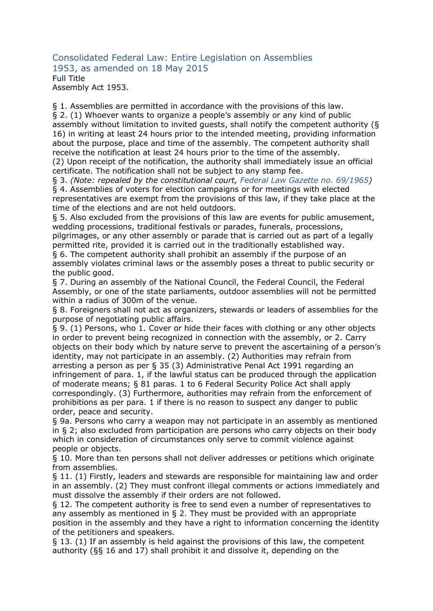Consolidated Federal Law: Entire Legislation on Assemblies 1953, as amended on 18 May 2015 Full Title Assembly Act 1953.

§ 1. Assemblies are permitted in accordance with the provisions of this law. § 2. (1) Whoever wants to organize a people's assembly or any kind of public assembly without limitation to invited guests, shall notify the competent authority (§ 16) in writing at least 24 hours prior to the intended meeting, providing information about the purpose, place and time of the assembly. The competent authority shall receive the notification at least 24 hours prior to the time of the assembly.

(2) Upon receipt of the notification, the authority shall immediately issue an official certificate. The notification shall not be subject to any stamp fee.

§ 3. *(Note: repealed by the constitutional court, Federal Law Gazette no. 69/1965)*

§ 4. Assemblies of voters for election campaigns or for meetings with elected representatives are exempt from the provisions of this law, if they take place at the time of the elections and are not held outdoors.

§ 5. Also excluded from the provisions of this law are events for public amusement, wedding processions, traditional festivals or parades, funerals, processions,

pilgrimages, or any other assembly or parade that is carried out as part of a legally permitted rite, provided it is carried out in the traditionally established way.

§ 6. The competent authority shall prohibit an assembly if the purpose of an assembly violates criminal laws or the assembly poses a threat to public security or the public good.

§ 7. During an assembly of the National Council, the Federal Council, the Federal Assembly, or one of the state parliaments, outdoor assemblies will not be permitted within a radius of 300m of the venue.

§ 8. Foreigners shall not act as organizers, stewards or leaders of assemblies for the purpose of negotiating public affairs.

§ 9. (1) Persons, who 1. Cover or hide their faces with clothing or any other objects in order to prevent being recognized in connection with the assembly, or 2. Carry objects on their body which by nature serve to prevent the ascertaining of a person's identity, may not participate in an assembly. (2) Authorities may refrain from arresting a person as per § 35 (3) Administrative Penal Act 1991 regarding an infringement of para. 1, if the lawful status can be produced through the application of moderate means; § 81 paras. 1 to 6 Federal Security Police Act shall apply correspondingly. (3) Furthermore, authorities may refrain from the enforcement of prohibitions as per para. 1 if there is no reason to suspect any danger to public order, peace and security.

§ 9a. Persons who carry a weapon may not participate in an assembly as mentioned in § 2; also excluded from participation are persons who carry objects on their body which in consideration of circumstances only serve to commit violence against people or objects.

§ 10. More than ten persons shall not deliver addresses or petitions which originate from assemblies.

§ 11. (1) Firstly, leaders and stewards are responsible for maintaining law and order in an assembly. (2) They must confront illegal comments or actions immediately and must dissolve the assembly if their orders are not followed.

§ 12. The competent authority is free to send even a number of representatives to any assembly as mentioned in § 2. They must be provided with an appropriate position in the assembly and they have a right to information concerning the identity of the petitioners and speakers.

§ 13. (1) If an assembly is held against the provisions of this law, the competent authority (§§ 16 and 17) shall prohibit it and dissolve it, depending on the